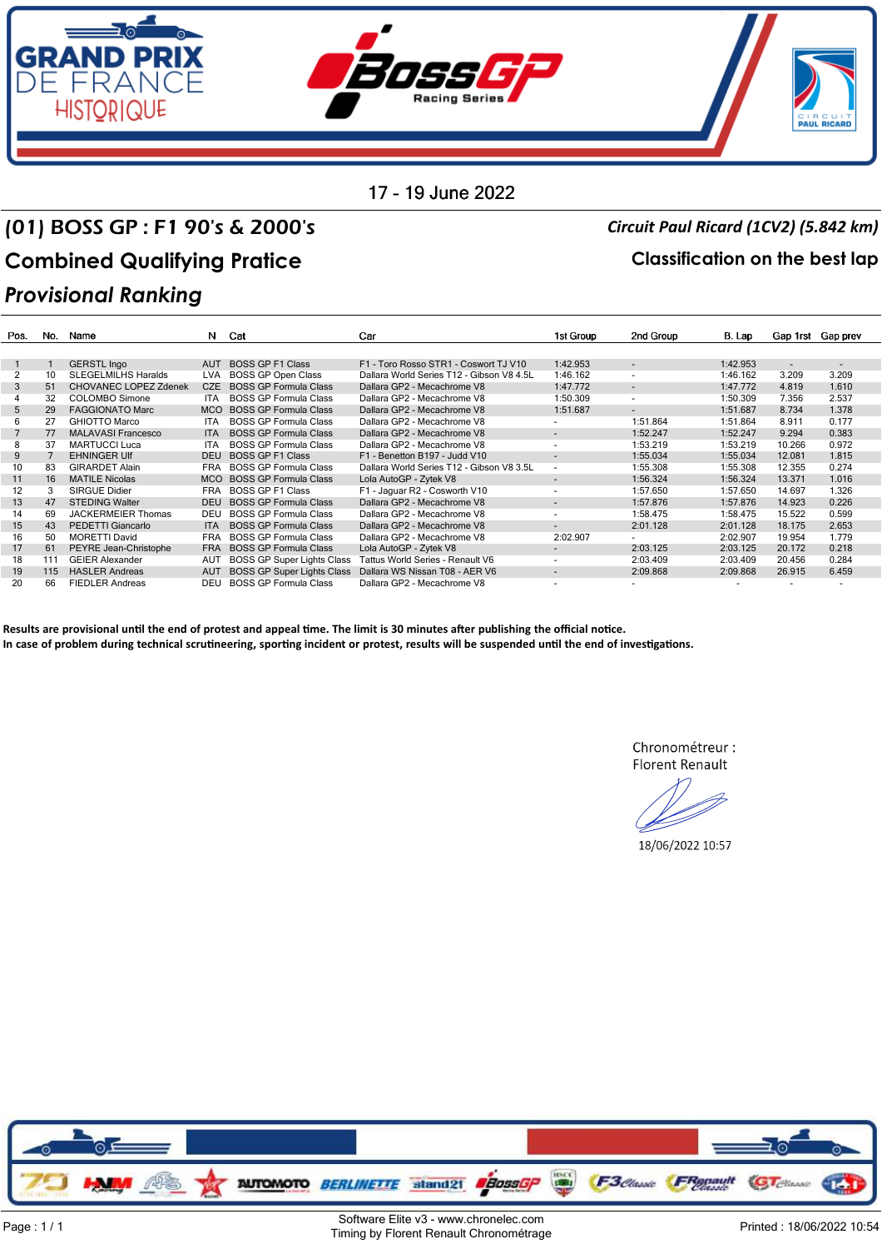

### (01) BOSS GP : F1 90's & 2000's *Circuit Paul Ricard (1CV2) (5.842 km)* Combined Qualifying Pratice **Combined Qualifying Pratice Classification** on the best lap *Provisional Ranking*

| Pos. | No. | Name                         | N.         | Cat                               | Car                                       | 1st Group                | 2nd Group                | B. Lap         | Gap 1rst | Gap prev                 |
|------|-----|------------------------------|------------|-----------------------------------|-------------------------------------------|--------------------------|--------------------------|----------------|----------|--------------------------|
|      |     |                              |            |                                   |                                           |                          |                          |                |          |                          |
|      |     | <b>GERSTL Ingo</b>           | <b>AUT</b> | <b>BOSS GP F1 Class</b>           | F1 - Toro Rosso STR1 - Coswort TJ V10     | 1:42.953                 | $\blacksquare$           | 1:42.953       | $\sim$   | $\overline{\phantom{a}}$ |
|      | 10  | <b>SLEGELMILHS Haralds</b>   | <b>LVA</b> | BOSS GP Open Class                | Dallara World Series T12 - Gibson V8 4.5L | 1:46.162                 | $\overline{\phantom{a}}$ | 1:46.162       | 3.209    | 3.209                    |
| 3    | 51  | <b>CHOVANEC LOPEZ Zdenek</b> | CZE        | <b>BOSS GP Formula Class</b>      | Dallara GP2 - Mecachrome V8               | 1:47.772                 | ۰.                       | 1:47.772       | 4.819    | 1.610                    |
|      | 32  | <b>COLOMBO Simone</b>        | <b>ITA</b> | <b>BOSS GP Formula Class</b>      | Dallara GP2 - Mecachrome V8               | 1:50.309                 | ٠                        | 1:50.309       | 7.356    | 2.537                    |
| 5    | 29  | <b>FAGGIONATO Marc</b>       | <b>MCO</b> | <b>BOSS GP Formula Class</b>      | Dallara GP2 - Mecachrome V8               | 1:51.687                 | ۰.                       | 1:51.687       | 8.734    | 1.378                    |
| 6    | 27  | <b>GHIOTTO Marco</b>         | <b>ITA</b> | <b>BOSS GP Formula Class</b>      | Dallara GP2 - Mecachrome V8               |                          | 1:51.864                 | 1:51.864       | 8.911    | 0.177                    |
|      | 77  | <b>MALAVASI Francesco</b>    | <b>ITA</b> | <b>BOSS GP Formula Class</b>      | Dallara GP2 - Mecachrome V8               | $\overline{\phantom{a}}$ | 1:52.247                 | 1:52.247       | 9.294    | 0.383                    |
| 8    | 37  | <b>MARTUCCI Luca</b>         | <b>ITA</b> | <b>BOSS GP Formula Class</b>      | Dallara GP2 - Mecachrome V8               | $\overline{\phantom{a}}$ | 1:53.219                 | 1:53.219       | 10.266   | 0.972                    |
| 9    |     | <b>EHNINGER UIF</b>          | <b>DEU</b> | <b>BOSS GP F1 Class</b>           | F1 - Benetton B197 - Judd V10             | $\overline{\phantom{a}}$ | 1:55.034                 | 1:55.034       | 12.081   | 1.815                    |
| 10   | 83  | <b>GIRARDET Alain</b>        | <b>FRA</b> | <b>BOSS GP Formula Class</b>      | Dallara World Series T12 - Gibson V8 3.5L | $\sim$                   | 1:55.308                 | 1:55.308       | 12.355   | 0.274                    |
| 11   | 16  | <b>MATILE Nicolas</b>        | <b>MCO</b> | <b>BOSS GP Formula Class</b>      | Lola AutoGP - Zytek V8                    | $\sim$                   | 1:56.324                 | 1:56.324       | 13.371   | 1.016                    |
| 12   | 3   | <b>SIRGUE Didier</b>         | <b>FRA</b> | <b>BOSS GP F1 Class</b>           | F1 - Jaquar R2 - Cosworth V10             | $\overline{\phantom{a}}$ | 1:57.650                 | 1:57.650       | 14.697   | 1.326                    |
| 13   | 47  | <b>STEDING Walter</b>        | <b>DEU</b> | <b>BOSS GP Formula Class</b>      | Dallara GP2 - Mecachrome V8               | $\overline{a}$           | 1:57.876                 | 1:57.876       | 14.923   | 0.226                    |
| 14   | 69  | <b>JACKERMEIER Thomas</b>    | <b>DEU</b> | <b>BOSS GP Formula Class</b>      | Dallara GP2 - Mecachrome V8               | $\overline{\phantom{a}}$ | 1:58.475                 | 1:58.475       | 15.522   | 0.599                    |
| 15   | 43  | PEDETTI Giancarlo            | <b>ITA</b> | <b>BOSS GP Formula Class</b>      | Dallara GP2 - Mecachrome V8               | $\blacksquare$           | 2:01.128                 | 2:01.128       | 18.175   | 2.653                    |
| 16   | 50  | <b>MORETTI David</b>         | <b>FRA</b> | <b>BOSS GP Formula Class</b>      | Dallara GP2 - Mecachrome V8               | 2:02.907                 | ۰.                       | 2:02.907       | 19.954   | 1.779                    |
| 17   | 61  | PEYRE Jean-Christophe        | <b>FRA</b> | <b>BOSS GP Formula Class</b>      | Lola AutoGP - Zytek V8                    |                          | 2:03.125                 | 2:03.125       | 20.172   | 0.218                    |
| 18   | 111 | <b>GEIER Alexander</b>       | AUT        | <b>BOSS GP Super Lights Class</b> | Tattus World Series - Renault V6          | $\overline{\phantom{a}}$ | 2:03.409                 | 2:03.409       | 20.456   | 0.284                    |
| 19   | 115 | <b>HASLER Andreas</b>        | <b>AUT</b> | <b>BOSS GP Super Lights Class</b> | Dallara WS Nissan T08 - AER V6            | $\sim$                   | 2:09.868                 | 2:09.868       | 26.915   | 6.459                    |
| 20   | 66  | <b>FIEDLER Andreas</b>       | DEU        | <b>BOSS GP Formula Class</b>      | Dallara GP2 - Mecachrome V8               | $\overline{\phantom{a}}$ | ۰                        | $\overline{a}$ |          |                          |

Results are provisional until the end of protest and appeal time. The limit is 30 minutes after publishing the official notice. In case of problem during technical scrutineering, sporting incident or protest, results will be suspended until the end of investigations.

> Chronométreur : Florent Renault

18/06/2022 10:57

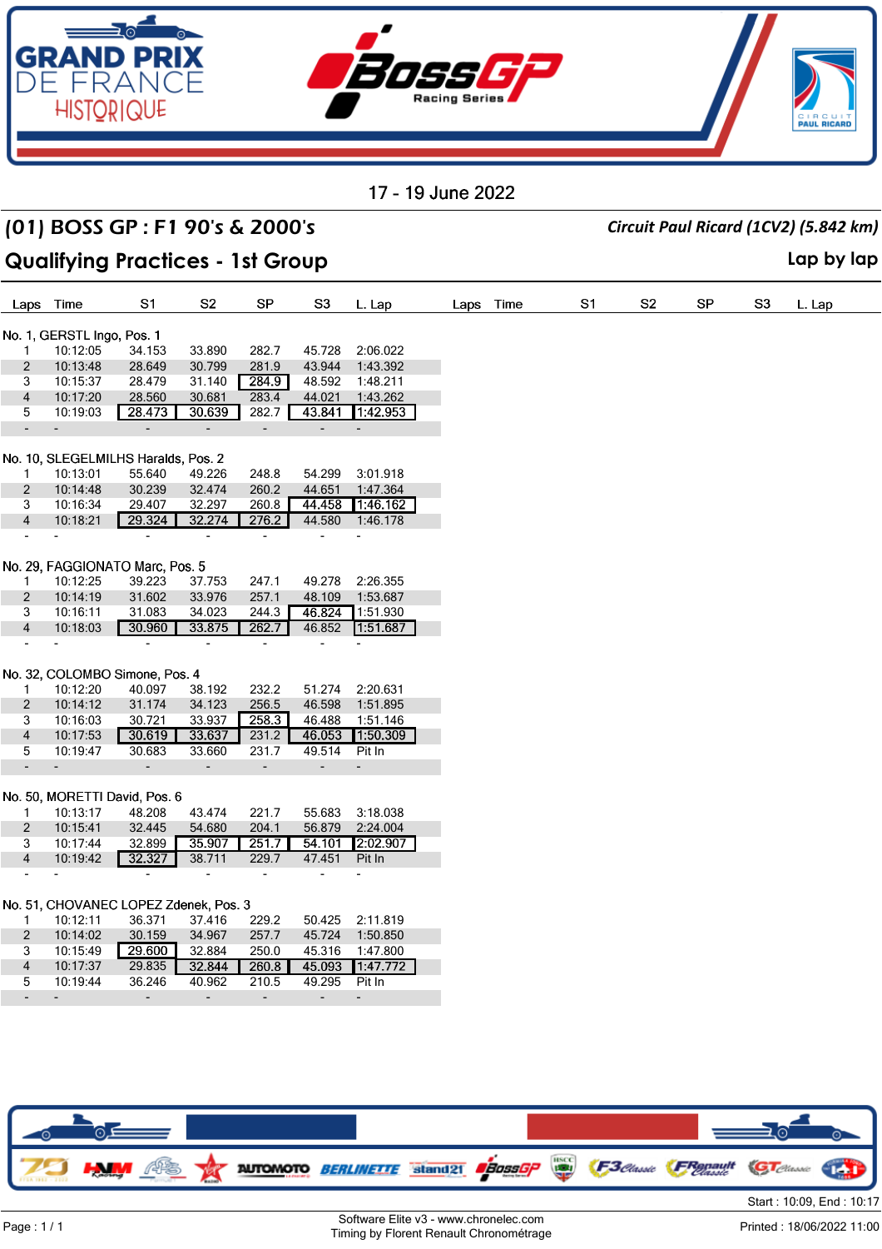

## (01) BOSS GP : F1 90's & 2000's *Circuit Paul Ricard (1CV2) (5.842 km)*

### **Qualifying Practices - 1st Group Lap by lap**

| Laps                     | Time                                  | S1               | S <sub>2</sub>               | SP                       | S <sub>3</sub>           | L. Lap                   |  | Laps Time | S <sub>1</sub> | S <sub>2</sub> | SP | S <sub>3</sub> |
|--------------------------|---------------------------------------|------------------|------------------------------|--------------------------|--------------------------|--------------------------|--|-----------|----------------|----------------|----|----------------|
|                          |                                       |                  |                              |                          |                          |                          |  |           |                |                |    |                |
|                          | No. 1, GERSTL Ingo, Pos. 1            |                  |                              |                          |                          |                          |  |           |                |                |    |                |
| 1                        | 10:12:05<br>10:13:48                  | 34.153<br>28.649 | 33.890<br>30.799             | 282.7<br>281.9           | 45.728<br>43.944         | 2:06.022<br>1:43.392     |  |           |                |                |    |                |
| $\overline{c}$<br>3      | 10:15:37                              | 28.479           | 31.140                       | 284.9                    | 48.592                   | 1:48.211                 |  |           |                |                |    |                |
| $\overline{\mathbf{4}}$  | 10:17:20                              | 28.560           | 30.681                       | 283.4                    | 44.021                   | 1:43.262                 |  |           |                |                |    |                |
| 5                        | 10:19:03                              | 28.473           | 30.639                       | 282.7                    | 43.841                   | 1:42.953                 |  |           |                |                |    |                |
| $\blacksquare$           | ÷,                                    | $\blacksquare$   | -                            | ÷                        | $\overline{\phantom{a}}$ | $\overline{\phantom{a}}$ |  |           |                |                |    |                |
|                          |                                       |                  |                              |                          |                          |                          |  |           |                |                |    |                |
|                          | No. 10, SLEGELMILHS Haralds, Pos. 2   |                  |                              |                          |                          |                          |  |           |                |                |    |                |
| $\mathbf{1}$             | 10:13:01                              | 55.640           | 49.226                       | 248.8                    | 54.299                   | 3:01.918                 |  |           |                |                |    |                |
| $\overline{2}$           | 10:14:48                              | 30.239           | 32.474                       | 260.2                    | 44.651                   | 1:47.364                 |  |           |                |                |    |                |
| 3                        | 10:16:34                              | 29.407           | 32.297                       | 260.8                    | 44.458                   | 1:46.162                 |  |           |                |                |    |                |
| $\overline{4}$           | 10:18:21                              | 29.324           | 32.274                       | 276.2                    | 44.580                   | 1:46.178                 |  |           |                |                |    |                |
| $\blacksquare$           | $\overline{\phantom{a}}$              | $\blacksquare$   | ÷,                           | $\overline{\phantom{a}}$ | $\blacksquare$           | ٠                        |  |           |                |                |    |                |
|                          |                                       |                  |                              |                          |                          |                          |  |           |                |                |    |                |
|                          | No. 29, FAGGIONATO Marc, Pos. 5       |                  |                              |                          |                          |                          |  |           |                |                |    |                |
| $\mathbf{1}$             | 10:12:25                              | 39.223           | 37.753                       | 247.1                    | 49.278                   | 2:26.355                 |  |           |                |                |    |                |
| $\overline{2}$           | 10:14:19                              | 31.602           | 33.976                       | 257.1                    | 48.109                   | 1:53.687                 |  |           |                |                |    |                |
| 3                        | 10:16:11                              | 31.083           | 34.023                       | 244.3                    | 46.824                   | 1:51.930                 |  |           |                |                |    |                |
| $\overline{4}$           | 10:18:03                              | 30.960           | 33.875                       | 262.7                    | 46.852                   | 1:51.687                 |  |           |                |                |    |                |
|                          |                                       | $\blacksquare$   | $\overline{\phantom{a}}$     | $\overline{\phantom{a}}$ |                          |                          |  |           |                |                |    |                |
|                          | No. 32, COLOMBO Simone, Pos. 4        |                  |                              |                          |                          |                          |  |           |                |                |    |                |
| 1                        | 10:12:20                              | 40.097           | 38.192                       | 232.2                    | 51.274                   | 2:20.631                 |  |           |                |                |    |                |
| $\overline{2}$           | 10:14:12                              | 31.174           |                              | 256.5                    | 46.598                   | 1:51.895                 |  |           |                |                |    |                |
|                          | 10:16:03                              | 30.721           | 34.123<br>33.937             | 258.3                    | 46.488                   | 1:51.146                 |  |           |                |                |    |                |
| 3                        |                                       | 30.619           | 33.637                       |                          | 46.053                   | 1:50.309                 |  |           |                |                |    |                |
| $\overline{4}$<br>5      | 10:17:53<br>10:19:47                  | 30.683           | 33.660                       | 231.2<br>231.7           | 49.514                   | Pit In                   |  |           |                |                |    |                |
| $\overline{\phantom{a}}$ |                                       |                  |                              |                          | $\blacksquare$           |                          |  |           |                |                |    |                |
|                          | $\blacksquare$                        | $\blacksquare$   | $\qquad \qquad \blacksquare$ | ÷                        |                          | $\overline{\phantom{a}}$ |  |           |                |                |    |                |
|                          | No. 50, MORETTI David, Pos. 6         |                  |                              |                          |                          |                          |  |           |                |                |    |                |
| $\mathbf{1}$             | 10:13:17                              | 48.208           | 43.474                       | 221.7                    | 55.683                   | 3:18.038                 |  |           |                |                |    |                |
| $\overline{2}$           | 10:15:41                              | 32.445           | 54.680                       | 204.1                    | 56.879                   | 2:24.004                 |  |           |                |                |    |                |
| 3                        | 10:17:44                              | 32.899           | 35.907                       | 251.7                    | 54.101                   | 2:02.907                 |  |           |                |                |    |                |
| $\overline{4}$           | 10:19:42                              | 32.327           | 38.711                       | 229.7                    | 47.451                   | Pit In                   |  |           |                |                |    |                |
|                          |                                       | $\blacksquare$   |                              | ä,                       | $\overline{\phantom{0}}$ |                          |  |           |                |                |    |                |
|                          |                                       |                  |                              |                          |                          |                          |  |           |                |                |    |                |
|                          | No. 51, CHOVANEC LOPEZ Zdenek, Pos. 3 |                  |                              |                          |                          |                          |  |           |                |                |    |                |
| 1                        | 10:12:11                              | 36.371           | 37.416                       | 229.2                    | 50.425                   | 2:11.819                 |  |           |                |                |    |                |
| $\overline{2}$           | 10:14:02                              | 30.159           | 34.967                       | 257.7                    | 45.724                   | 1:50.850                 |  |           |                |                |    |                |
| 3                        | 10:15:49                              | 29.600           | 32.884                       | 250.0                    | 45.316                   | 1:47.800                 |  |           |                |                |    |                |
| $\overline{\mathbf{4}}$  | 10:17:37                              | 29.835           | 32.844                       | 260.8                    | 45.093                   | 1:47.772                 |  |           |                |                |    |                |
| 5                        | 10:19:44                              | 36.246           | 40.962                       | 210.5                    | 49.295                   | Pit In                   |  |           |                |                |    |                |
|                          |                                       |                  | $\overline{\phantom{a}}$     | $\overline{\phantom{a}}$ | $\blacksquare$           |                          |  |           |                |                |    |                |
|                          |                                       |                  |                              |                          |                          |                          |  |           |                |                |    |                |

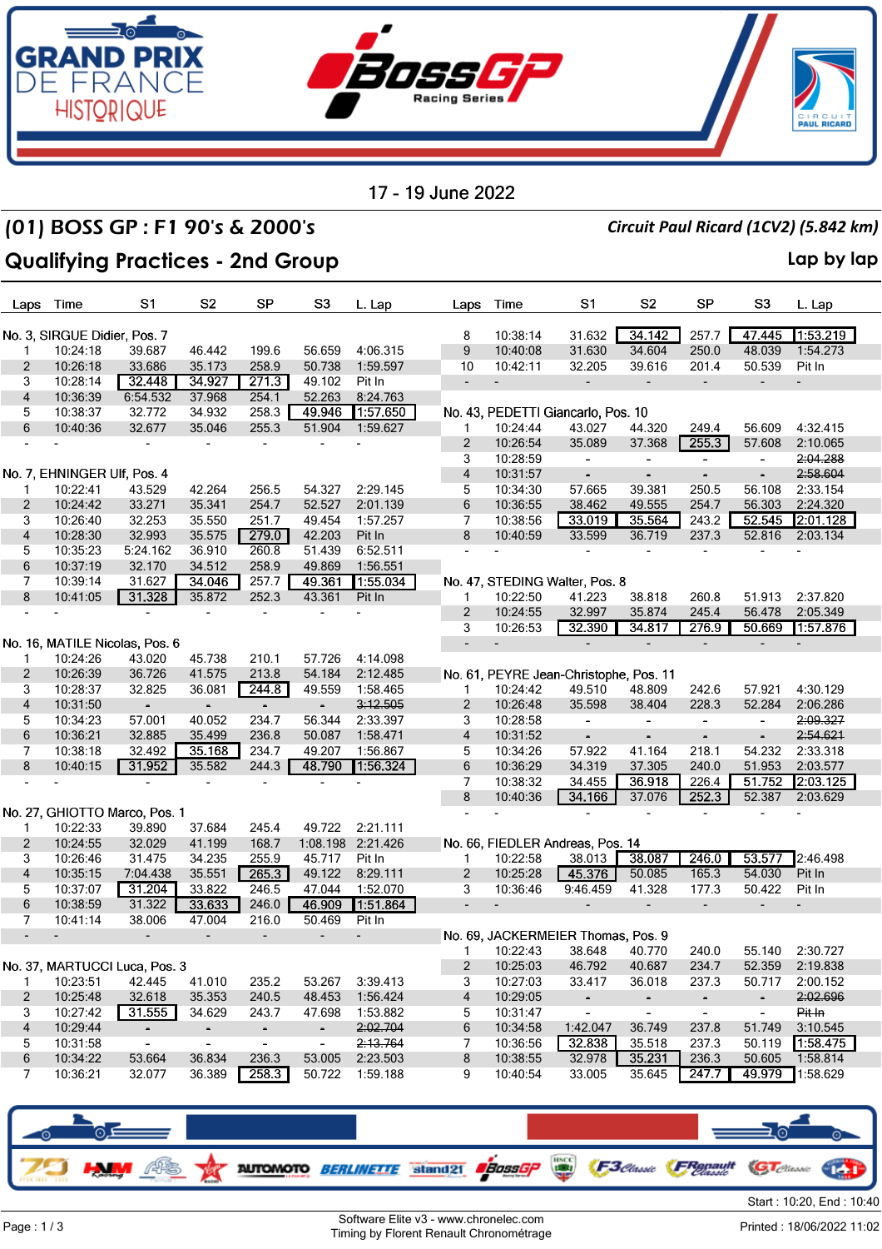

### (01) BOSS GP : F1 90's & 2000's *Circuit Paul Ricard (1CV2) (5.842 km)*

### **Qualifying Practices - 2nd Group Lap by lap**

| Laps                     | Time                         | S1                             | S <sub>2</sub>               | SP                       | S <sub>3</sub>           | L. Lap            | Laps                     | Time                     | S1                                     | S <sub>2</sub>               | <b>SP</b>                | S <sub>3</sub>           | L. Lap   |
|--------------------------|------------------------------|--------------------------------|------------------------------|--------------------------|--------------------------|-------------------|--------------------------|--------------------------|----------------------------------------|------------------------------|--------------------------|--------------------------|----------|
|                          | No. 3, SIRGUE Didier, Pos. 7 |                                |                              |                          |                          |                   | 8                        | 10:38:14                 | 31.632                                 | 34.142                       | 257.7                    | 47.445                   | 1:53.219 |
| $\mathbf{1}$             | 10:24:18                     | 39.687                         | 46.442                       | 199.6                    | 56.659                   | 4:06.315          | 9                        | 10:40:08                 | 31.630                                 | 34.604                       | 250.0                    | 48.039                   | 1:54.273 |
| $\overline{2}$           | 10:26:18                     | 33.686                         | 35.173                       | 258.9                    | 50.738                   | 1:59.597          | 10                       | 10:42:11                 | 32.205                                 | 39.616                       | 201.4                    | 50.539                   | Pit In   |
| 3                        | 10:28:14                     | 32.448                         | 34.927                       | 271.3                    | 49.102                   | Pit In            | $\overline{a}$           | $\overline{\phantom{a}}$ | $\overline{\phantom{a}}$               | $\overline{\phantom{a}}$     |                          | $\overline{\phantom{0}}$ |          |
| $\overline{\mathbf{4}}$  | 10:36:39                     | 6:54.532                       | 37.968                       | 254.1                    | 52.263                   | 8:24.763          |                          |                          |                                        |                              |                          |                          |          |
| 5                        | 10:38:37                     | 32.772                         | 34.932                       | 258.3                    | 49.946                   | 1:57.650          |                          |                          | No. 43, PEDETTI Giancarlo, Pos. 10     |                              |                          |                          |          |
| 6                        | 10:40:36                     | 32.677                         | 35.046                       | 255.3                    | 51.904                   | 1:59.627          | 1                        | 10:24:44                 | 43.027                                 | 44.320                       | 249.4                    | 56.609                   | 4:32.415 |
|                          |                              |                                |                              |                          |                          |                   | 2                        | 10:26:54                 | 35.089                                 | 37.368                       | 255.3                    | 57.608                   | 2:10.065 |
|                          |                              |                                |                              |                          |                          |                   | 3                        | 10:28:59                 | $\overline{\phantom{a}}$               | $\blacksquare$               | $\blacksquare$           | $\blacksquare$           | 2:04.288 |
|                          | No. 7, EHNINGER Ulf, Pos. 4  |                                |                              |                          |                          |                   | $\overline{4}$           | 10:31:57                 | $\overline{\phantom{a}}$               | $\overline{\phantom{a}}$     | $\blacksquare$           | $\overline{\phantom{a}}$ | 2:58.604 |
| 1                        | 10:22:41                     | 43.529                         | 42.264                       | 256.5                    | 54.327                   | 2:29.145          | 5                        | 10:34:30                 | 57.665                                 | 39.381                       | 250.5                    | 56.108                   | 2:33.154 |
| $\overline{c}$           | 10:24:42                     | 33.271                         | 35.341                       | 254.7                    | 52.527                   | 2:01.139          | 6                        | 10:36:55                 | 38.462                                 | 49.555                       | 254.7                    | 56.303                   | 2:24.320 |
| 3                        | 10:26:40                     | 32.253                         | 35.550                       | 251.7                    | 49.454                   | 1:57.257          | 7                        | 10:38:56                 | 33.019                                 | 35.564                       | 243.2                    | 52.545                   | 2:01.128 |
| 4                        | 10:28:30                     | 32.993                         | 35.575                       | 279.0                    | 42.203                   | Pit In            | 8                        | 10:40:59                 | 33.599                                 | 36.719                       | 237.3                    | 52.816                   | 2:03.134 |
| 5                        | 10:35:23                     | 5:24.162                       | 36.910                       | 260.8                    | 51.439                   | 6:52.511          |                          |                          |                                        |                              |                          |                          |          |
| 6                        | 10:37:19                     | 32.170                         | 34.512                       | 258.9                    | 49.869                   | 1:56.551          |                          |                          |                                        |                              |                          |                          |          |
| 7                        | 10:39:14                     | 31.627                         | 34.046                       | 257.7                    | 49.361                   | 1:55.034          |                          |                          | No. 47, STEDING Walter, Pos. 8         |                              |                          |                          |          |
| 8                        | 10:41:05                     | 31.328                         | 35.872                       | 252.3                    | 43.361                   | Pit In            | $\mathbf{1}$             | 10:22:50                 | 41.223                                 | 38.818                       | 260.8                    | 51.913                   | 2:37.820 |
|                          |                              | $\overline{\phantom{a}}$       | $\overline{\phantom{a}}$     |                          |                          |                   | 2                        | 10:24:55                 | 32.997                                 | 35.874                       | 245.4                    | 56.478                   | 2:05.349 |
|                          |                              |                                |                              |                          |                          |                   | 3                        | 10:26:53                 | 32.390                                 | 34.817                       | 276.9                    | 50.669                   | 1:57.876 |
|                          |                              | No. 16, MATILE Nicolas, Pos. 6 |                              |                          |                          |                   | $\overline{\phantom{a}}$ | $\overline{\phantom{a}}$ |                                        |                              |                          |                          |          |
|                          | 10:24:26                     | 43.020                         | 45.738                       | 210.1                    | 57.726                   | 4:14.098          |                          |                          |                                        |                              |                          |                          |          |
| 2                        | 10:26:39                     | 36.726                         | 41.575                       | 213.8                    | 54.184                   | 2:12.485          |                          |                          | No. 61, PEYRE Jean-Christophe, Pos. 11 |                              |                          |                          |          |
| 3                        | 10:28:37                     | 32.825                         | 36.081                       | 244.8                    | 49.559                   | 1:58.465          | 1                        | 10:24:42                 | 49.510                                 | 48.809                       | 242.6                    | 57.921                   | 4:30.129 |
| 4                        | 10:31:50                     | $\qquad \qquad \blacksquare$   | $\overline{\phantom{0}}$     | $\overline{\phantom{a}}$ | $\overline{\phantom{a}}$ | 3:12.505          | 2                        | 10:26:48                 | 35.598                                 | 38.404                       | 228.3                    | 52.284                   | 2:06.286 |
| 5                        | 10:34:23                     | 57.001                         | 40.052                       | 234.7                    | 56.344                   | 2:33.397          | 3                        | 10:28:58                 | $\overline{\phantom{a}}$               | $\blacksquare$               | $\overline{\phantom{a}}$ | $\overline{\phantom{0}}$ | 2:09.327 |
| 6                        | 10:36:21                     | 32.885                         | 35.499                       | 236.8                    | 50.087                   | 1:58.471          | 4                        | 10:31:52                 |                                        | $\qquad \qquad \blacksquare$ |                          | $\overline{\phantom{a}}$ | 2:54.621 |
| 7                        | 10:38:18                     | 32.492                         | 35.168                       | 234.7                    | 49.207                   | 1:56.867          | 5                        | 10:34:26                 | 57.922                                 | 41.164                       | 218.1                    | 54.232                   | 2:33.318 |
| 8                        | 10:40:15                     | 31.952                         | 35.582                       | 244.3                    | 48.790                   | 1:56.324          | 6                        | 10:36:29                 | 34.319                                 | 37.305                       | 240.0                    | 51.953                   | 2:03.577 |
|                          |                              |                                |                              |                          |                          |                   | 7                        | 10:38:32                 | 34.455                                 | 36.918                       | 226.4                    | 51.752                   | 2:03.125 |
|                          |                              |                                |                              |                          |                          |                   | 8                        | 10:40:36                 | 34.166                                 | 37.076                       | 252.3                    | 52.387                   | 2:03.629 |
|                          |                              | No. 27, GHIOTTO Marco, Pos. 1  |                              |                          |                          |                   |                          |                          |                                        |                              |                          |                          |          |
| 1                        | 10:22:33                     | 39.890                         | 37.684                       | 245.4                    | 49.722                   | 2:21.111          |                          |                          |                                        |                              |                          |                          |          |
| $\overline{c}$           | 10:24:55                     | 32.029                         | 41.199                       | 168.7                    |                          | 1:08.198 2:21.426 |                          |                          | No. 66, FIEDLER Andreas, Pos. 14       |                              |                          |                          |          |
| 3                        | 10:26:46                     | 31.475                         | 34.235                       | 255.9                    | 45.717                   | Pit In            | 1                        | 10:22:58                 | 38.013                                 | 38.087                       | 246.0                    | 53.577                   | 2:46.498 |
| 4                        | 10:35:15                     | 7:04.438                       | 35.551                       | 265.3                    | 49.122                   | 8:29.111          | $\overline{2}$           | 10:25:28                 | 45.376                                 | 50.085                       | 165.3                    | 54.030                   | Pit In   |
| 5                        | 10:37:07                     | 31.204                         | 33.822                       | 246.5                    | 47.044                   | 1:52.070          | 3                        | 10:36:46                 | 9:46.459                               | 41.328                       | 177.3                    | 50.422                   | Pit In   |
| 6                        | 10:38:59                     | 31.322                         | 33.633                       | 246.0                    | 46.909                   | 1:51.864          | $\overline{\phantom{a}}$ |                          |                                        |                              |                          |                          |          |
| 7                        | 10:41:14                     | 38.006                         | 47.004                       | 216.0                    | 50.469                   | Pit In            |                          |                          |                                        |                              |                          |                          |          |
| $\overline{\phantom{a}}$ |                              |                                | $\qquad \qquad \blacksquare$ |                          | $\overline{a}$           |                   |                          |                          | No. 69, JACKERMEIER Thomas, Pos. 9     |                              |                          |                          |          |
|                          |                              |                                |                              |                          |                          |                   | 1                        | 10:22:43                 | 38.648                                 | 40.770                       | 240.0                    | 55.140                   | 2:30.727 |
|                          |                              | No. 37, MARTUCCI Luca, Pos. 3  |                              |                          |                          |                   | $\overline{c}$           | 10:25:03                 | 46.792                                 | 40.687                       | 234.7                    | 52.359                   | 2:19.838 |
| $\mathbf{1}$             | 10:23:51                     | 42.445                         | 41.010                       | 235.2                    | 53.267                   | 3:39.413          | 3                        | 10:27:03                 | 33.417                                 | 36.018                       | 237.3                    | 50.717                   | 2:00.152 |
| $\overline{2}$           | 10:25:48                     | 32.618                         | 35.353                       | 240.5                    | 48.453                   | 1:56.424          | 4                        | 10:29:05                 | $\overline{\phantom{a}}$               | $\overline{\phantom{a}}$     | $\blacksquare$           | $\sim$                   | 2:02.696 |
| 3                        | 10:27:42                     | 31.555                         | 34.629                       | 243.7                    | 47.698                   | 1:53.882          | 5                        | 10:31:47                 | $\blacksquare$                         | $\overline{\phantom{a}}$     | $\blacksquare$           | $\blacksquare$           | Pit In   |
| 4                        | 10:29:44                     | $\overline{\phantom{a}}$       | $\overline{\phantom{a}}$     | $\blacksquare$           | $\blacksquare$           | 2:02.704          | 6                        | 10:34:58                 | 1:42.047                               | 36.749                       | 237.8                    | 51.749                   | 3:10.545 |
| 5                        | 10:31:58                     | $\blacksquare$                 | $\blacksquare$               | $\blacksquare$           | $\blacksquare$           | 2:13.764          | 7                        | 10:36:56                 | 32.838                                 | 35.518                       | 237.3                    | 50.119                   | 1:58.475 |
| 6                        | 10:34:22                     | 53.664                         | 36.834                       | 236.3                    | 53.005                   | 2:23.503          | 8                        | 10:38:55                 | 32.978                                 | 35.231                       | 236.3                    | 50.605                   | 1:58.814 |
| 7                        | 10:36:21                     | 32.077                         | 36.389                       | 258.3                    | 50.722                   | 1:59.188          | 9                        | 10:40:54                 | 33.005                                 | 35.645                       | 247.7                    | 49.979                   | 1:58.629 |
|                          |                              |                                |                              |                          |                          |                   |                          |                          |                                        |                              |                          |                          |          |
|                          |                              |                                |                              |                          |                          |                   |                          |                          |                                        |                              |                          |                          |          |
|                          |                              |                                |                              |                          |                          |                   |                          |                          |                                        |                              |                          |                          |          |

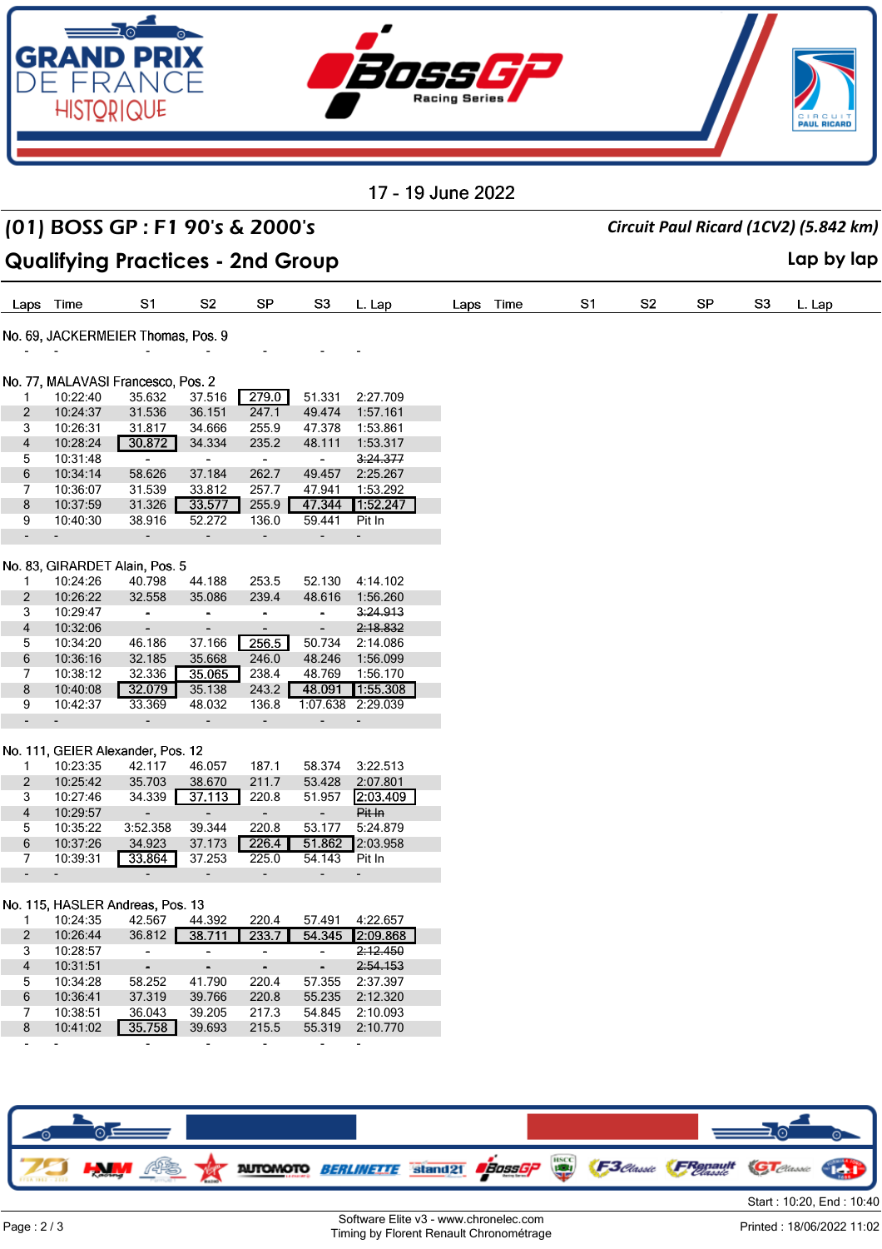

|                               |                      | (01) BOSS GP: F1 90's & 2000's               |                          |                                  |                                      |                      |      |      | Circuit Paul Ricard (1CV2) (5.842 km) |                |    |    |            |
|-------------------------------|----------------------|----------------------------------------------|--------------------------|----------------------------------|--------------------------------------|----------------------|------|------|---------------------------------------|----------------|----|----|------------|
|                               |                      | <b>Qualifying Practices - 2nd Group</b>      |                          |                                  |                                      |                      |      |      |                                       |                |    |    | Lap by lap |
| Laps                          | Time                 | S1                                           | S <sub>2</sub>           | <b>SP</b>                        | S3                                   | L. Lap               | Laps | Time | S1                                    | S <sub>2</sub> | SP | S3 | L. Lap     |
|                               |                      | No. 69, JACKERMEIER Thomas, Pos. 9           |                          |                                  |                                      |                      |      |      |                                       |                |    |    |            |
|                               |                      |                                              |                          |                                  |                                      |                      |      |      |                                       |                |    |    |            |
|                               |                      |                                              |                          |                                  |                                      |                      |      |      |                                       |                |    |    |            |
| $\mathbf{1}$                  | 10:22:40             | No. 77, MALAVASI Francesco, Pos. 2<br>35.632 | 37.516                   | 279.0                            | 51.331                               | 2:27.709             |      |      |                                       |                |    |    |            |
| 2                             | 10:24:37             | 31.536                                       | 36.151                   | 247.1                            | 49.474                               | 1:57.161             |      |      |                                       |                |    |    |            |
| 3                             | 10:26:31             | 31.817                                       | 34.666                   | 255.9                            | 47.378                               | 1:53.861             |      |      |                                       |                |    |    |            |
| 4                             | 10:28:24             | 30.872                                       | 34.334                   | 235.2                            | 48.111                               | 1:53.317             |      |      |                                       |                |    |    |            |
| 5                             | 10:31:48             | $\sim$                                       | $\sim$                   | $\blacksquare$                   | $\blacksquare$                       | 3:24.377             |      |      |                                       |                |    |    |            |
| 6                             | 10:34:14             | 58.626                                       | 37.184                   | 262.7                            | 49.457                               | 2:25.267             |      |      |                                       |                |    |    |            |
| 7                             | 10:36:07             | 31.539                                       | 33.812                   | 257.7                            | 47.941                               | 1:53.292             |      |      |                                       |                |    |    |            |
| 8                             | 10:37:59             | 31.326                                       | 33.577                   | 255.9                            | 47.344                               | 1:52.247             |      |      |                                       |                |    |    |            |
| 9                             | 10:40:30             | 38.916                                       | 52.272                   | 136.0                            | 59.441                               | Pit In               |      |      |                                       |                |    |    |            |
|                               |                      | $\qquad \qquad \blacksquare$                 |                          | $\qquad \qquad \blacksquare$     |                                      |                      |      |      |                                       |                |    |    |            |
|                               |                      |                                              |                          |                                  |                                      |                      |      |      |                                       |                |    |    |            |
|                               |                      | No. 83, GIRARDET Alain, Pos. 5               |                          |                                  |                                      |                      |      |      |                                       |                |    |    |            |
| 1                             | 10:24:26             | 40.798                                       | 44.188                   | 253.5                            | 52.130                               | 4:14.102             |      |      |                                       |                |    |    |            |
| $\overline{2}$                | 10:26:22             | 32.558                                       | 35.086                   | 239.4                            | 48.616                               | 1:56.260             |      |      |                                       |                |    |    |            |
| 3                             | 10:29:47             | $\overline{\phantom{a}}$                     | $\overline{\phantom{a}}$ | -                                | $\qquad \qquad \blacksquare$         | 3:24.913             |      |      |                                       |                |    |    |            |
| 4                             | 10:32:06             | $\overline{\phantom{a}}$                     | $\overline{\phantom{a}}$ | $\overline{\phantom{a}}$         | $\qquad \qquad \blacksquare$         | 2:18.832             |      |      |                                       |                |    |    |            |
| 5                             | 10:34:20             | 46.186                                       | 37.166                   | 256.5                            | 50.734                               | 2:14.086             |      |      |                                       |                |    |    |            |
| 6                             | 10:36:16             | 32.185                                       | 35.668                   | 246.0                            | 48.246                               | 1:56.099             |      |      |                                       |                |    |    |            |
| 7                             | 10:38:12             | 32.336                                       | 35.065                   | 238.4                            | 48.769                               | 1:56.170             |      |      |                                       |                |    |    |            |
| 8                             | 10:40:08             | 32.079                                       | 35.138                   | 243.2                            | 48.091                               | 1:55.308             |      |      |                                       |                |    |    |            |
| 9<br>$\overline{\phantom{a}}$ | 10:42:37             | 33.369                                       | 48.032                   | 136.8                            | 1:07.638<br>$\overline{\phantom{a}}$ | 2:29.039             |      |      |                                       |                |    |    |            |
|                               |                      | ٠                                            | $\overline{\phantom{a}}$ | ٠                                |                                      |                      |      |      |                                       |                |    |    |            |
|                               |                      | No. 111, GEIER Alexander, Pos. 12            |                          |                                  |                                      |                      |      |      |                                       |                |    |    |            |
| $\mathbf{1}$                  | 10:23:35             | 42.117                                       | 46.057                   | 187.1                            | 58.374                               | 3:22.513             |      |      |                                       |                |    |    |            |
| 2                             | 10:25:42             | 35.703                                       | 38.670                   | 211.7                            | 53.428                               | 2:07.801             |      |      |                                       |                |    |    |            |
| 3                             | 10:27:46             | 34.339                                       | 37.113                   | 220.8                            | 51.957                               | 2:03.409             |      |      |                                       |                |    |    |            |
| 4                             | 10:29:57             | $\overline{\phantom{a}}$                     | $\blacksquare$           | $\overline{\phantom{0}}$         | $\overline{\phantom{a}}$             | Pit In               |      |      |                                       |                |    |    |            |
| 5                             | 10:35:22             | 3:52.358                                     | 39.344                   | 220.8                            | 53.177                               | 5:24.879             |      |      |                                       |                |    |    |            |
| 6                             | 10:37:26             | 34.923                                       | 37.173                   | 226.4                            | 51.862                               | 2:03.958             |      |      |                                       |                |    |    |            |
| 7                             | 10:39:31             | 33.864                                       | 37.253                   | 225.0                            | 54.143                               | Pit In               |      |      |                                       |                |    |    |            |
|                               |                      |                                              |                          |                                  |                                      |                      |      |      |                                       |                |    |    |            |
|                               |                      |                                              |                          |                                  |                                      |                      |      |      |                                       |                |    |    |            |
|                               |                      | No. 115, HASLER Andreas, Pos. 13             |                          |                                  |                                      |                      |      |      |                                       |                |    |    |            |
| $\mathbf{1}$                  | 10:24:35             | 42.567                                       | 44.392                   | 220.4                            | 57.491                               | 4:22.657<br>2:09.868 |      |      |                                       |                |    |    |            |
| $\overline{2}$                | 10:26:44             | 36.812                                       | 38.711                   | 233.7                            | 54.345                               |                      |      |      |                                       |                |    |    |            |
| 3<br>$\overline{4}$           | 10:28:57<br>10:31:51 | $\sim$ $-$<br>$\sim$ $-$                     | $\blacksquare$<br>$\sim$ | $\blacksquare$<br>$\blacksquare$ | $\blacksquare$<br>$\sim$             | 2:12.450<br>2:54.153 |      |      |                                       |                |    |    |            |
| 5                             | 10:34:28             | 58.252                                       | 41.790                   | 220.4                            | 57.355                               | 2:37.397             |      |      |                                       |                |    |    |            |
| 6                             | 10:36:41             | 37.319                                       | 39.766                   | 220.8                            | 55.235                               | 2:12.320             |      |      |                                       |                |    |    |            |
| 7                             | 10:38:51             | 36.043                                       | 39.205                   | 217.3                            | 54.845                               | 2:10.093             |      |      |                                       |                |    |    |            |
| 8                             | 10:41:02             | 35.758                                       | 39.693                   | 215.5                            |                                      | 55.319 2:10.770      |      |      |                                       |                |    |    |            |
|                               |                      | $\overline{\phantom{a}}$                     | $\overline{\phantom{a}}$ | $\overline{\phantom{a}}$         | $\overline{\phantom{a}}$             |                      |      |      |                                       |                |    |    |            |
|                               |                      |                                              |                          |                                  |                                      |                      |      |      |                                       |                |    |    |            |
|                               |                      |                                              |                          |                                  |                                      |                      |      |      |                                       |                |    |    |            |

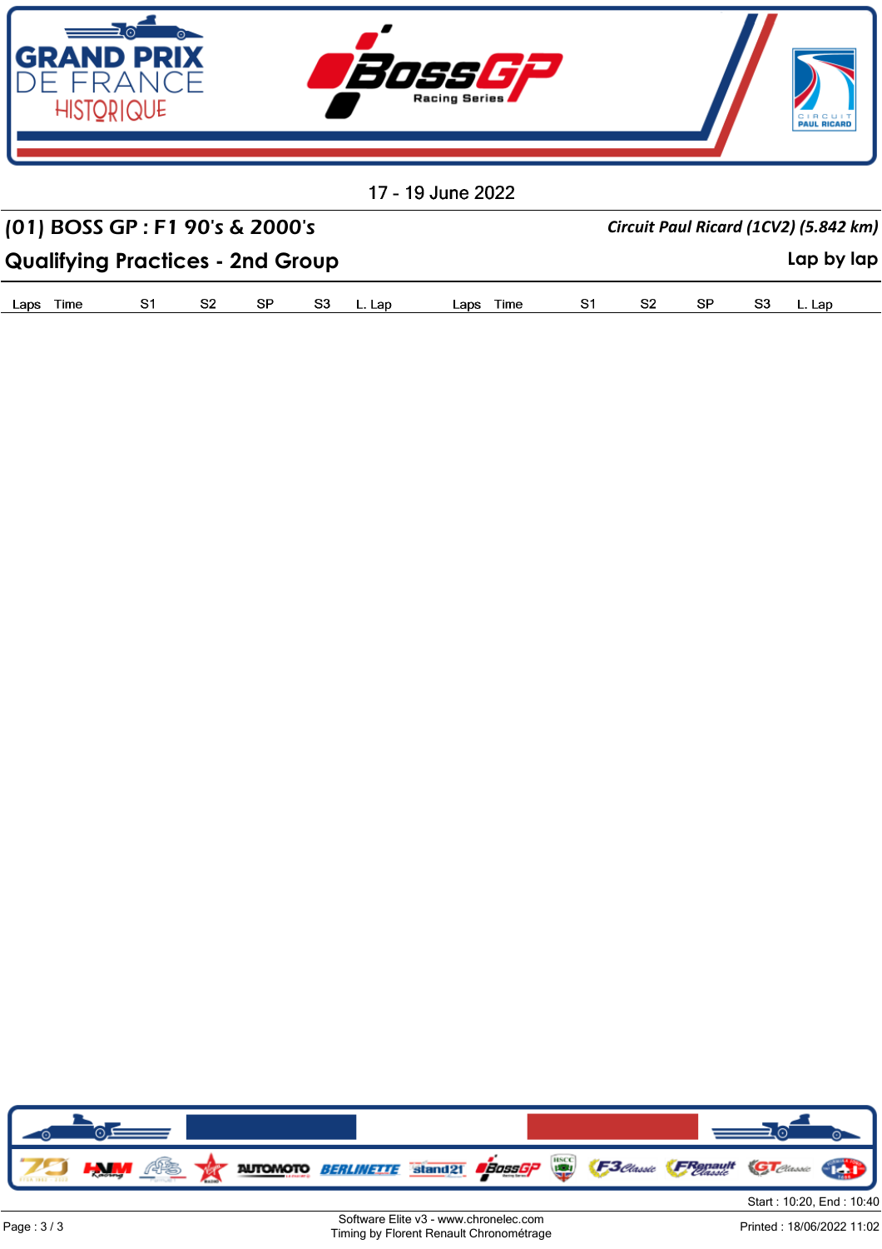

| (01) BOSS GP : F1 90's & 2000's         |                |     |  |           |     | Circuit Paul Ricard (1CV2) (5.842 km) |      |            |  |
|-----------------------------------------|----------------|-----|--|-----------|-----|---------------------------------------|------|------------|--|
| <b>Qualifying Practices - 2nd Group</b> |                |     |  |           |     |                                       |      | Lap by lap |  |
| Lans i<br>Time                          | S <sub>2</sub> | -SP |  | lans Time | S2. | -SP                                   | -83. |            |  |

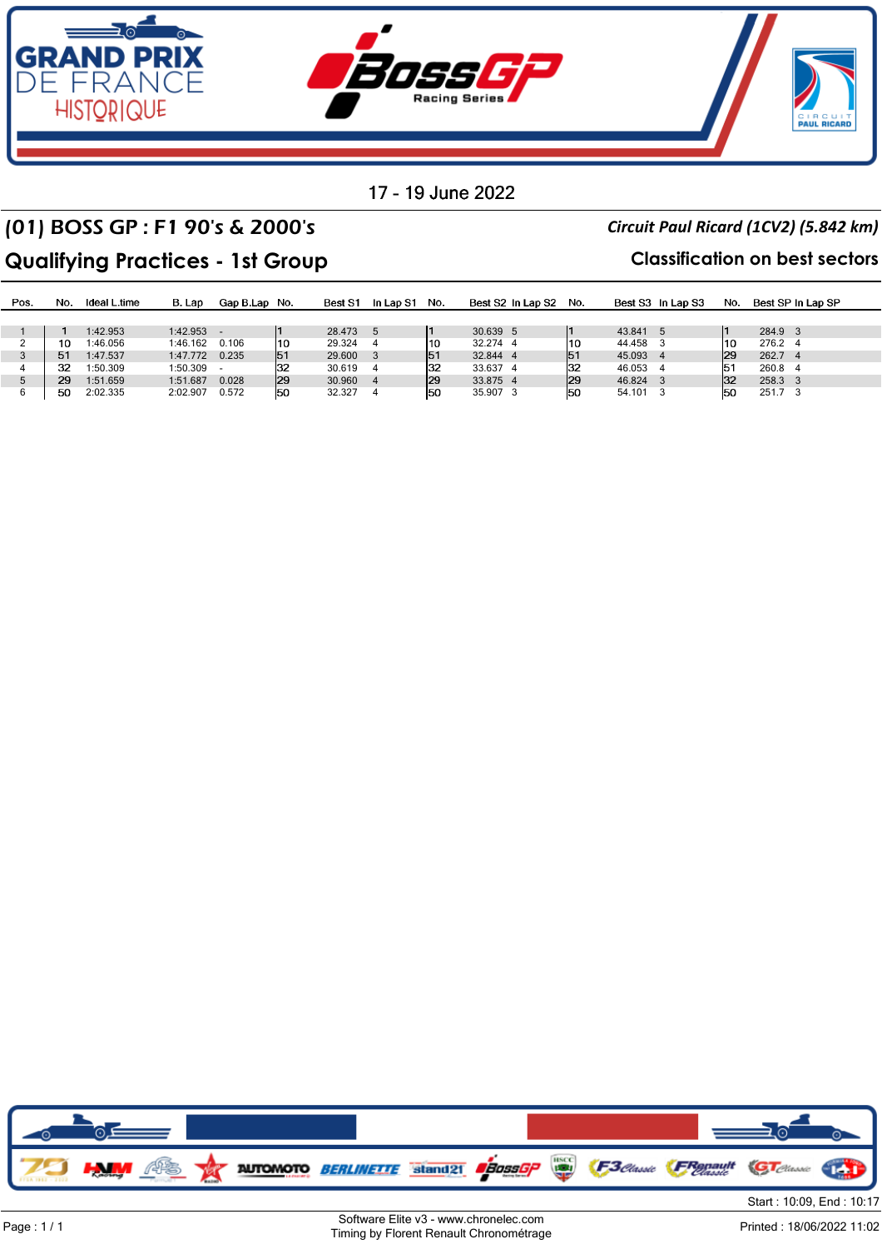

### (01) BOSS GP : F1 90's & 2000's *Circuit Paul Ricard (1CV2) (5.842 km)*

### **Qualifying Practices - 1st Group Classification on best sectors**

| Pos. | No. | Ideal L.time | B. Lap         | Gap B.Lap No. |     | Best S1 | In Lap S1 | No. | Best S2 In Lap S2 No. |     |          | Best S3 In Lap S3 | No. | Best SP In Lap SP |  |
|------|-----|--------------|----------------|---------------|-----|---------|-----------|-----|-----------------------|-----|----------|-------------------|-----|-------------------|--|
|      |     |              |                |               |     |         |           |     |                       |     |          |                   |     |                   |  |
|      |     | 1:42.953     | $1:42.953$ -   |               |     | 28.473  | - 5       |     | 30.639 5              |     | 43.841   |                   |     | 284.9 3           |  |
|      | 10  | 1:46.056     | 1:46.162       | 0.106         | 110 | 29.324  |           | 110 | 32.274 4              | 110 | 44.458   |                   | 110 | 276.2 4           |  |
|      | 51  | 1:47.537     | 1:47.772 0.235 |               | 51  | 29,600  |           | 51  | 32.844 4              | 151 | 45.093   |                   | 129 | 262.7 4           |  |
|      | 32  | 1:50.309     | 1:50.309       |               | 132 | 30.619  |           | 132 | 33.637 4              | 132 | 46.053   |                   | 151 | 260.8 4           |  |
|      | 29  | 1:51.659     | 1:51.687       | 0.028         | 29  | 30.960  |           | 29  | 33.875 4              | 29  | 46.824   |                   | 132 | 258.3 3           |  |
|      | 50  | 2:02.335     | 2:02.907       | 0.572         | 50  | 32.327  |           | 150 | 35.907 3              | 150 | 54.101 3 |                   | 150 | 251.7 3           |  |